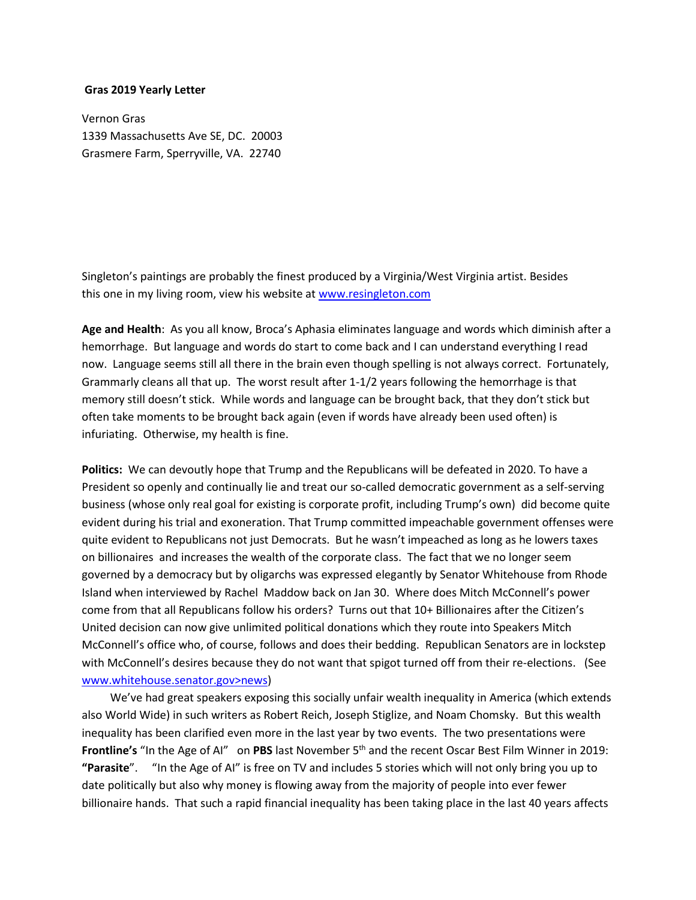## **Gras 2019 Yearly Letter**

Vernon Gras 1339 Massachusetts Ave SE, DC. 20003 Grasmere Farm, Sperryville, VA. 22740

Singleton's paintings are probably the finest produced by a Virginia/West Virginia artist. Besides this one in my living room, view his website at [www.resingleton.com](http://www.resingleton.com/)

**Age and Health**: As you all know, Broca's Aphasia eliminates language and words which diminish after a hemorrhage. But language and words do start to come back and I can understand everything I read now. Language seems still all there in the brain even though spelling is not always correct. Fortunately, Grammarly cleans all that up. The worst result after 1-1/2 years following the hemorrhage is that memory still doesn't stick. While words and language can be brought back, that they don't stick but often take moments to be brought back again (even if words have already been used often) is infuriating. Otherwise, my health is fine.

**Politics:** We can devoutly hope that Trump and the Republicans will be defeated in 2020. To have a President so openly and continually lie and treat our so-called democratic government as a self-serving business (whose only real goal for existing is corporate profit, including Trump's own) did become quite evident during his trial and exoneration. That Trump committed impeachable government offenses were quite evident to Republicans not just Democrats. But he wasn't impeached as long as he lowers taxes on billionaires and increases the wealth of the corporate class. The fact that we no longer seem governed by a democracy but by oligarchs was expressed elegantly by Senator Whitehouse from Rhode Island when interviewed by Rachel Maddow back on Jan 30. Where does Mitch McConnell's power come from that all Republicans follow his orders? Turns out that 10+ Billionaires after the Citizen's United decision can now give unlimited political donations which they route into Speakers Mitch McConnell's office who, of course, follows and does their bedding. Republican Senators are in lockstep with McConnell's desires because they do not want that spigot turned off from their re-elections. (See www.whitehouse.senator.gov>news)

 We've had great speakers exposing this socially unfair wealth inequality in America (which extends also World Wide) in such writers as Robert Reich, Joseph Stiglize, and Noam Chomsky. But this wealth inequality has been clarified even more in the last year by two events. The two presentations were **Frontline's** "In the Age of AI" on PBS last November 5<sup>th</sup> and the recent Oscar Best Film Winner in 2019: **"Parasite**". "In the Age of AI" is free on TV and includes 5 stories which will not only bring you up to date politically but also why money is flowing away from the majority of people into ever fewer billionaire hands. That such a rapid financial inequality has been taking place in the last 40 years affects